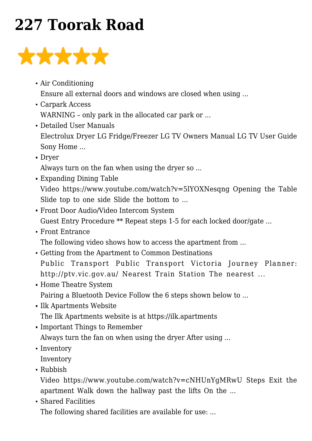## **[227 Toorak Road](https://smartmon.com.au/227/)**



- [Air Conditioning](https://smartmon.com.au/227/air-conditioning/) Ensure all external doors and windows are closed when using ...
- [Carpark Access](https://smartmon.com.au/227/carpark-access/) WARNING - only park in the allocated car park or ...
- [Detailed User Manuals](https://smartmon.com.au/227/toorak-road-manuals/) Electrolux Dryer LG Fridge/Freezer LG TV Owners Manual LG TV User Guide Sony Home ...
- [Dryer](https://smartmon.com.au/227/dryer/)

Always turn on the fan when using the dryer so ...

- [Expanding Dining Table](https://smartmon.com.au/expanding-dining-table/) Video https://www.youtube.com/watch?v=5lYOXNesqng Opening the Table Slide top to one side Slide the bottom to ...
- [Front Door Audio/Video Intercom System](https://smartmon.com.au/227/front-door-intercom/) Guest Entry Procedure \*\* Repeat steps 1-5 for each locked door/gate ...
- [Front Entrance](https://smartmon.com.au/227/front-entrance/)

The following video shows how to access the apartment from ...

- [Getting from the Apartment to Common Destinations](https://smartmon.com.au/227getting-from-the-apartment-to-common-destinations/) Public Transport Public Transport Victoria Journey Planner: http://ptv.vic.gov.au/ Nearest Train Station The nearest ...
- [Home Theatre System](https://smartmon.com.au/227/home-theatre/) Pairing a Bluetooth Device Follow the 6 steps shown below to ...
- [Ilk Apartments Website](https://smartmon.com.au/ilk-apartments-website/) The Ilk Apartments website is at https://ilk.apartments
- [Important Things to Remember](https://smartmon.com.au/227/important-things-to-remember/) Always turn the fan on when using the dryer After using ...
- [Inventory](https://smartmon.com.au/227/inventory/)

Inventory

[Rubbish](https://smartmon.com.au/227/rubbish/)

Video https://www.youtube.com/watch?v=cNHUnYgMRwU Steps Exit the apartment Walk down the hallway past the lifts On the ...

[Shared Facilities](https://smartmon.com.au/227/shared-facilities/)

The following shared facilities are available for use: ...